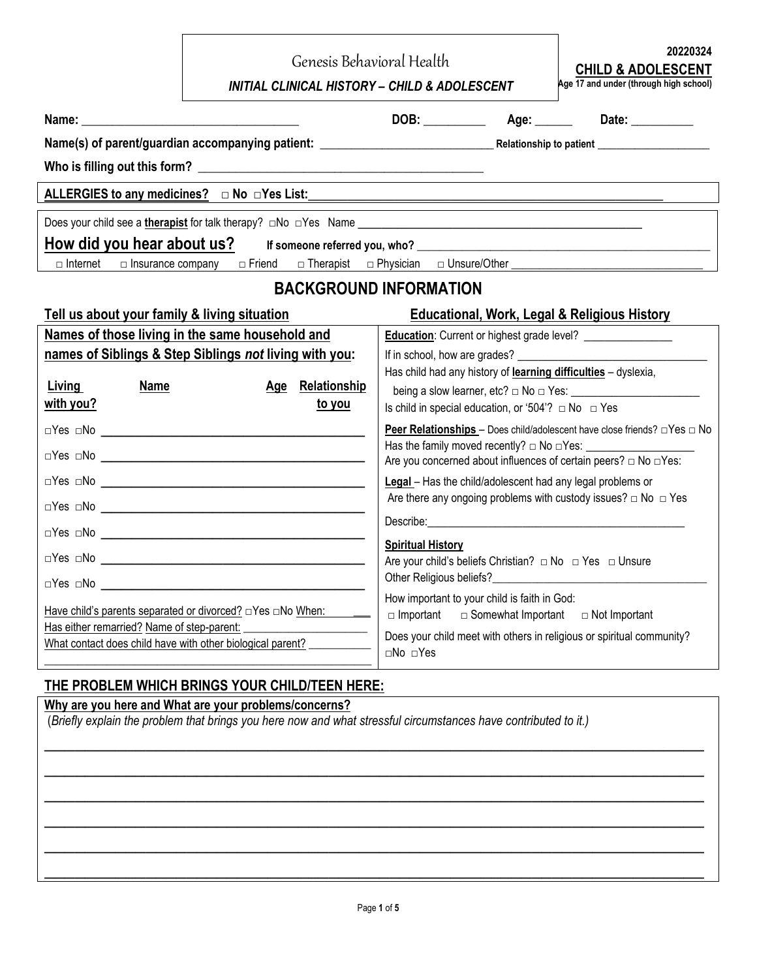|                                                            | Genesis Behavioral Health<br><b>INITIAL CLINICAL HISTORY - CHILD &amp; ADOLESCENT</b>                                                                                    | 20220324<br><b>CHILD &amp; ADOLESCENT</b><br>Age 17 and under (through high school)                                                    |  |                                                                                            |  |
|------------------------------------------------------------|--------------------------------------------------------------------------------------------------------------------------------------------------------------------------|----------------------------------------------------------------------------------------------------------------------------------------|--|--------------------------------------------------------------------------------------------|--|
|                                                            |                                                                                                                                                                          |                                                                                                                                        |  |                                                                                            |  |
|                                                            |                                                                                                                                                                          |                                                                                                                                        |  |                                                                                            |  |
|                                                            |                                                                                                                                                                          |                                                                                                                                        |  |                                                                                            |  |
|                                                            | ALLERGIES to any medicines? $\Box$ No $\Box$ Yes List:                                                                                                                   |                                                                                                                                        |  |                                                                                            |  |
|                                                            |                                                                                                                                                                          |                                                                                                                                        |  |                                                                                            |  |
|                                                            | How did you hear about us? If someone referred you, who?                                                                                                                 |                                                                                                                                        |  |                                                                                            |  |
| $\Box$ Internet<br>$\Box$ Insurance company                | □ Friend                                                                                                                                                                 |                                                                                                                                        |  |                                                                                            |  |
|                                                            | <b>BACKGROUND INFORMATION</b>                                                                                                                                            |                                                                                                                                        |  |                                                                                            |  |
| Tell us about your family & living situation               |                                                                                                                                                                          |                                                                                                                                        |  | <b>Educational, Work, Legal &amp; Religious History</b>                                    |  |
|                                                            | Names of those living in the same household and                                                                                                                          |                                                                                                                                        |  | <b>Education:</b> Current or highest grade level? __________________                       |  |
|                                                            | names of Siblings & Step Siblings not living with you:                                                                                                                   |                                                                                                                                        |  | If in school, how are grades?                                                              |  |
| <b>Living</b><br><b>Name</b>                               | Age Relationship                                                                                                                                                         | Has child had any history of learning difficulties - dyslexia,                                                                         |  |                                                                                            |  |
| with you?                                                  | <u>to you</u>                                                                                                                                                            | being a slow learner, etc? $\Box$ No $\Box$ Yes:<br>Is child in special education, or '504'? $\Box$ No $\Box$ Yes                      |  |                                                                                            |  |
|                                                            |                                                                                                                                                                          |                                                                                                                                        |  | <b>Peer Relationships</b> - Does child/adolescent have close friends? $\Box$ Yes $\Box$ No |  |
|                                                            |                                                                                                                                                                          |                                                                                                                                        |  |                                                                                            |  |
|                                                            |                                                                                                                                                                          |                                                                                                                                        |  | Are you concerned about influences of certain peers? $\Box$ No $\Box$ Yes:                 |  |
|                                                            |                                                                                                                                                                          | Legal - Has the child/adolescent had any legal problems or<br>Are there any ongoing problems with custody issues? $\Box$ No $\Box$ Yes |  |                                                                                            |  |
|                                                            |                                                                                                                                                                          |                                                                                                                                        |  |                                                                                            |  |
|                                                            |                                                                                                                                                                          | <b>Spiritual History</b>                                                                                                               |  |                                                                                            |  |
|                                                            |                                                                                                                                                                          |                                                                                                                                        |  | Are your child's beliefs Christian? $\Box$ No $\Box$ Yes $\Box$ Unsure                     |  |
| □Yes □No                                                   |                                                                                                                                                                          | Other Religious beliefs?                                                                                                               |  |                                                                                            |  |
|                                                            | How important to your child is faith in God:<br>$\Box$ Important<br>$\Box$ Somewhat Important<br>$\Box$ Not Important                                                    |                                                                                                                                        |  |                                                                                            |  |
| Has either remarried? Name of step-parent:                 | Does your child meet with others in religious or spiritual community?                                                                                                    |                                                                                                                                        |  |                                                                                            |  |
| What contact does child have with other biological parent? |                                                                                                                                                                          | □No □Yes                                                                                                                               |  |                                                                                            |  |
|                                                            | THE PROBLEM WHICH BRINGS YOUR CHILD/TEEN HERE:                                                                                                                           |                                                                                                                                        |  |                                                                                            |  |
|                                                            | Why are you here and What are your problems/concerns?<br>(Briefly explain the problem that brings you here now and what stressful circumstances have contributed to it.) |                                                                                                                                        |  |                                                                                            |  |
|                                                            |                                                                                                                                                                          |                                                                                                                                        |  |                                                                                            |  |

 $\overline{\phantom{a}}$  , and the contribution of the contribution of the contribution of the contribution of the contribution of the contribution of the contribution of the contribution of the contribution of the contribution of the

 $\overline{\phantom{a}}$  , and the contribution of the contribution of the contribution of the contribution of the contribution of the contribution of the contribution of the contribution of the contribution of the contribution of the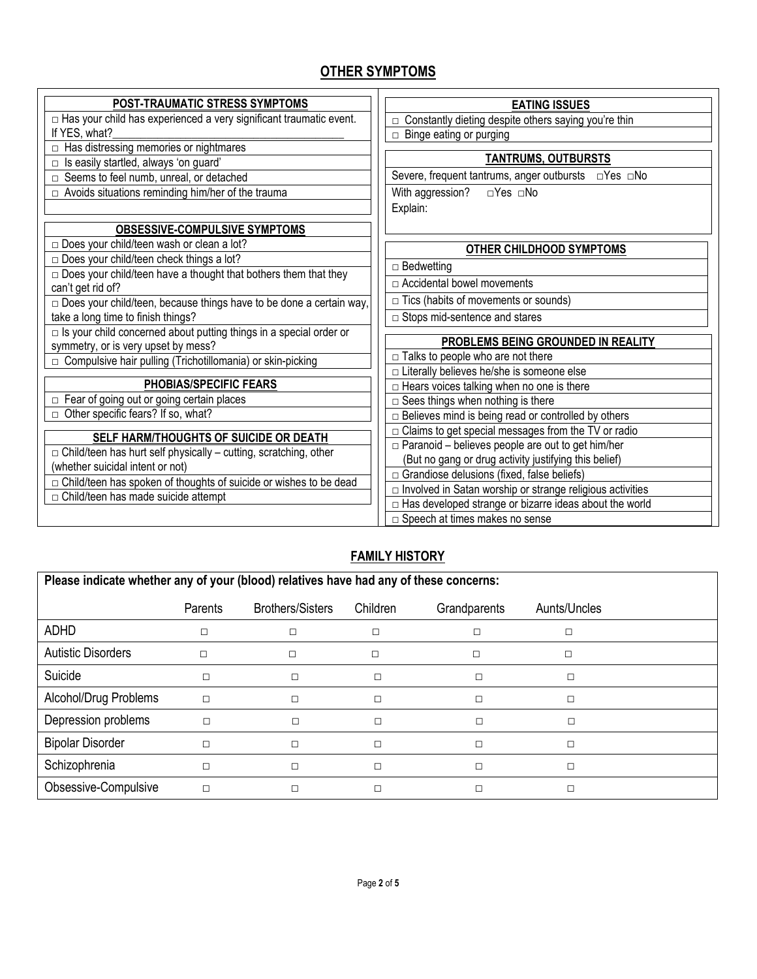# **OTHER SYMPTOMS**

| <b>POST-TRAUMATIC STRESS SYMPTOMS</b>                                     | <b>EATING ISSUES</b>                                             |  |  |  |  |
|---------------------------------------------------------------------------|------------------------------------------------------------------|--|--|--|--|
| □ Has your child has experienced a very significant traumatic event.      | □ Constantly dieting despite others saying you're thin           |  |  |  |  |
| If YES, what?                                                             | $\Box$ Binge eating or purging                                   |  |  |  |  |
| $\Box$ Has distressing memories or nightmares                             |                                                                  |  |  |  |  |
| $\Box$ Is easily startled, always 'on guard'                              | <b>TANTRUMS, OUTBURSTS</b>                                       |  |  |  |  |
| □ Seems to feel numb, unreal, or detached                                 |                                                                  |  |  |  |  |
| $\Box$ Avoids situations reminding him/her of the trauma                  | With aggression?<br>□Yes □No                                     |  |  |  |  |
|                                                                           | Explain:                                                         |  |  |  |  |
| <b>OBSESSIVE-COMPULSIVE SYMPTOMS</b>                                      |                                                                  |  |  |  |  |
| □ Does your child/teen wash or clean a lot?                               | <b>OTHER CHILDHOOD SYMPTOMS</b>                                  |  |  |  |  |
| $\square$ Does your child/teen check things a lot?                        | $\Box$ Bedwetting                                                |  |  |  |  |
| $\Box$ Does your child/teen have a thought that bothers them that they    |                                                                  |  |  |  |  |
| can't get rid of?                                                         | $\Box$ Accidental bowel movements                                |  |  |  |  |
| □ Does your child/teen, because things have to be done a certain way,     | $\Box$ Tics (habits of movements or sounds)                      |  |  |  |  |
| take a long time to finish things?                                        | □ Stops mid-sentence and stares                                  |  |  |  |  |
| $\Box$ Is your child concerned about putting things in a special order or |                                                                  |  |  |  |  |
| symmetry, or is very upset by mess?                                       | PROBLEMS BEING GROUNDED IN REALITY                               |  |  |  |  |
| □ Compulsive hair pulling (Trichotillomania) or skin-picking              | $\Box$ Talks to people who are not there                         |  |  |  |  |
|                                                                           | □ Literally believes he/she is someone else                      |  |  |  |  |
| PHOBIAS/SPECIFIC FEARS                                                    | $\Box$ Hears voices talking when no one is there                 |  |  |  |  |
| $\Box$ Fear of going out or going certain places                          | $\square$ Sees things when nothing is there                      |  |  |  |  |
| $\Box$ Other specific fears? If so, what?                                 | $\Box$ Believes mind is being read or controlled by others       |  |  |  |  |
| SELF HARM/THOUGHTS OF SUICIDE OR DEATH                                    | $\Box$ Claims to get special messages from the TV or radio       |  |  |  |  |
| $\Box$ Child/teen has hurt self physically – cutting, scratching, other   | $\Box$ Paranoid – believes people are out to get him/her         |  |  |  |  |
| (whether suicidal intent or not)                                          | (But no gang or drug activity justifying this belief)            |  |  |  |  |
| □ Child/teen has spoken of thoughts of suicide or wishes to be dead       | $\Box$ Grandiose delusions (fixed, false beliefs)                |  |  |  |  |
| $\Box$ Child/teen has made suicide attempt                                | $\Box$ Involved in Satan worship or strange religious activities |  |  |  |  |
|                                                                           | □ Has developed strange or bizarre ideas about the world         |  |  |  |  |
|                                                                           | □ Speech at times makes no sense                                 |  |  |  |  |
|                                                                           |                                                                  |  |  |  |  |

# **FAMILY HISTORY**

| Please indicate whether any of your (blood) relatives have had any of these concerns: |         |                         |                          |   |              |  |  |
|---------------------------------------------------------------------------------------|---------|-------------------------|--------------------------|---|--------------|--|--|
|                                                                                       | Parents | <b>Brothers/Sisters</b> | Children<br>Grandparents |   | Aunts/Uncles |  |  |
| <b>ADHD</b>                                                                           |         | □<br>□                  |                          |   |              |  |  |
| <b>Autistic Disorders</b>                                                             | П       | п                       | П                        | □ |              |  |  |
| Suicide                                                                               | $\Box$  | □                       | П                        |   | □            |  |  |
| Alcohol/Drug Problems                                                                 | $\Box$  | □                       | $\Box$                   |   | □            |  |  |
| Depression problems                                                                   | $\Box$  | П                       |                          | □ | □            |  |  |
| <b>Bipolar Disorder</b>                                                               | $\Box$  | П                       | $\Box$                   | П | □            |  |  |
| Schizophrenia                                                                         | $\Box$  |                         | $\Box$<br>П              |   | $\Box$       |  |  |
| Obsessive-Compulsive                                                                  | $\Box$  |                         |                          |   | П            |  |  |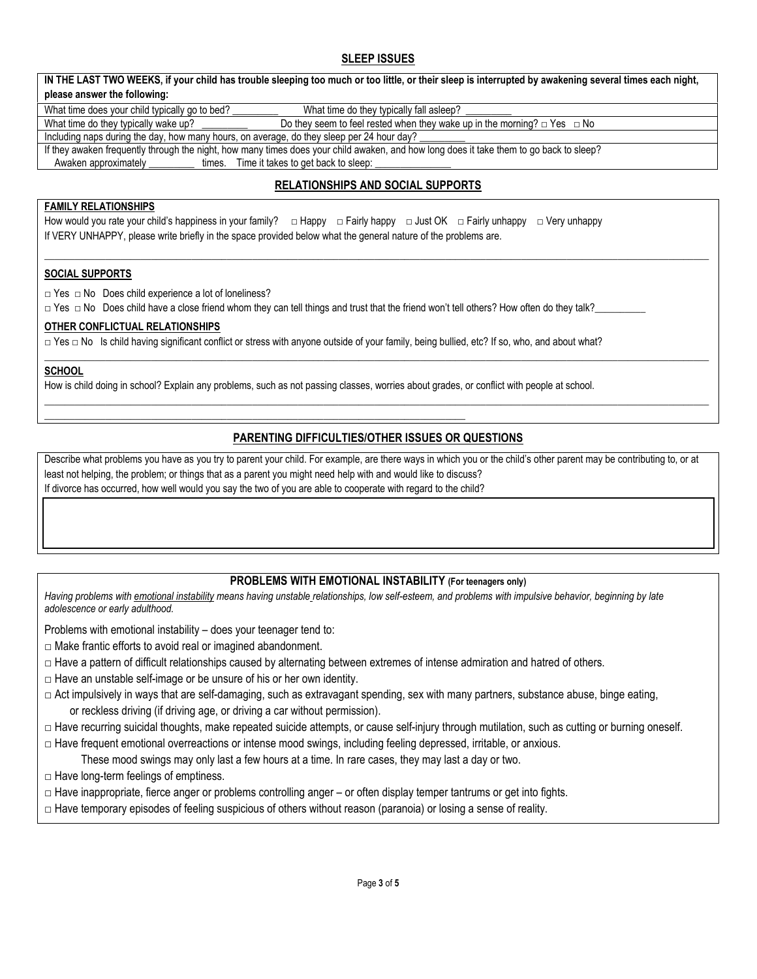## **SLEEP ISSUES**

| IN THE LAST TWO WEEKS, if your child has trouble sleeping too much or too little, or their sleep is interrupted by awakening several times each night, |  |  |  |  |  |  |
|--------------------------------------------------------------------------------------------------------------------------------------------------------|--|--|--|--|--|--|
| please answer the following:                                                                                                                           |  |  |  |  |  |  |
| What time does your child typically go to bed?<br>What time do they typically fall asleep?                                                             |  |  |  |  |  |  |
| Do they seem to feel rested when they wake up in the morning? $\Box$ Yes $\Box$ No<br>What time do they typically wake up?                             |  |  |  |  |  |  |
| Including naps during the day, how many hours, on average, do they sleep per 24 hour day?                                                              |  |  |  |  |  |  |
| If they awaken frequently through the night, how many times does your child awaken, and how long does it take them to go back to sleep?                |  |  |  |  |  |  |
| Awaken approximately<br>times. Time it takes to get back to sleep:                                                                                     |  |  |  |  |  |  |

## **RELATIONSHIPS AND SOCIAL SUPPORTS**

\_\_\_\_\_\_\_\_\_\_\_\_\_\_\_\_\_\_\_\_\_\_\_\_\_\_\_\_\_\_\_\_\_\_\_\_\_\_\_\_\_\_\_\_\_\_\_\_\_\_\_\_\_\_\_\_\_\_\_\_\_\_\_\_\_\_\_\_\_\_\_\_\_\_\_\_\_\_\_\_\_\_\_\_\_\_\_\_\_\_\_\_\_\_\_\_\_\_\_\_\_\_\_\_\_\_\_\_\_\_\_\_\_\_\_\_\_\_\_\_\_\_\_\_\_\_\_\_\_\_\_

### **FAMILY RELATIONSHIPS**

How would you rate your child's happiness in your family? □ Happy □ Fairly happy □ Just OK □ Fairly unhappy □ Very unhappy If VERY UNHAPPY, please write briefly in the space provided below what the general nature of the problems are.

#### **SOCIAL SUPPORTS**

□ Yes □ No Does child experience a lot of loneliness?

□ Yes □ No Does child have a close friend whom they can tell things and trust that the friend won't tell others? How often do they talk?

#### **OTHER CONFLICTUAL RELATIONSHIPS**

□ Yes □ No Is child having significant conflict or stress with anyone outside of your family, being bullied, etc? If so, who, and about what?

#### **SCHOOL**

How is child doing in school? Explain any problems, such as not passing classes, worries about grades, or conflict with people at school.

\_\_\_\_\_\_\_\_\_\_\_\_\_\_\_\_\_\_\_\_\_\_\_\_\_\_\_\_\_\_\_\_\_\_\_\_\_\_\_\_\_\_\_\_\_\_\_\_\_\_\_\_\_\_\_\_\_\_\_\_\_\_\_\_\_\_\_\_\_\_\_\_\_\_\_\_\_\_\_\_\_\_\_

### **PARENTING DIFFICULTIES/OTHER ISSUES OR QUESTIONS**

 $\Box \Box \Box \Box \Box \Box \Box \Box$ 

\_\_\_\_\_\_\_\_\_\_\_\_\_\_\_\_\_\_\_\_\_\_\_\_\_\_\_\_\_\_\_\_\_\_\_\_\_\_\_\_\_\_\_\_\_\_\_\_\_\_\_\_\_\_\_\_\_\_\_\_\_\_\_\_\_\_\_\_\_\_\_\_\_\_\_\_\_\_\_\_\_\_\_\_\_\_\_\_\_\_\_\_\_\_\_\_\_\_\_\_\_\_\_\_\_\_\_\_\_\_\_\_\_\_\_\_\_\_\_\_\_\_\_\_\_\_\_\_\_\_\_

Describe what problems you have as you try to parent your child. For example, are there ways in which you or the child's other parent may be contributing to, or at least not helping, the problem; or things that as a parent you might need help with and would like to discuss? If divorce has occurred, how well would you say the two of you are able to cooperate with regard to the child?

#### **PROBLEMS WITH EMOTIONAL INSTABILITY (For teenagers only)**

Having problems with emotional instability means having unstable [relationships,](http://www.webmd.com/sex-relationships/guide/default.htm) low self-esteem, and problems with impulsive behavior, beginning by late *adolescence or early adulthood.* 

Problems with emotional instability – does your teenager tend to:

- $\Box$  Make frantic efforts to avoid real or imagined abandonment.
- $\Box$  Have a pattern of difficult relationships caused by alternating between extremes of intense admiration and hatred of others.
- $\Box$  Have an unstable self-image or be unsure of his or her own identity.
- $\Box$  Act impulsively in ways that are self-damaging, such as extravagant spending, sex with many partners, [substance](http://www.webmd.com/hw-popup/substance-abuse) abuse, binge [eating,](http://www.webmd.com/hw-popup/binge-eating-disorder) or reckless driving (if driving age, or driving a car without permission).
- □ Have recurring [suicidal](http://www.webmd.com/mental-health/tc/suicidal-thoughts-or-threats-topic-overview) thoughts, make repeated suicide attempts, or cause self-injury through mutilation, such as cutting or burning oneself.
- □ Have frequent emotional overreactions or intense mood swings, including feeling depressed, irritable, or anxious.

These mood swings may only last a few hours at a time. In rare cases, they may last a day or two.

- $\Box$  Have long-term feelings of emptiness.
- $\Box$  Have inappropriate, fierce anger or problems controlling anger or often display temper [tantrums](http://children.webmd.com/tc/temper-tantrums-topic-overview) or get into fights.
- □ Have temporary episodes of feeling suspicious of others without reason (paranoia) or losing a sense of reality.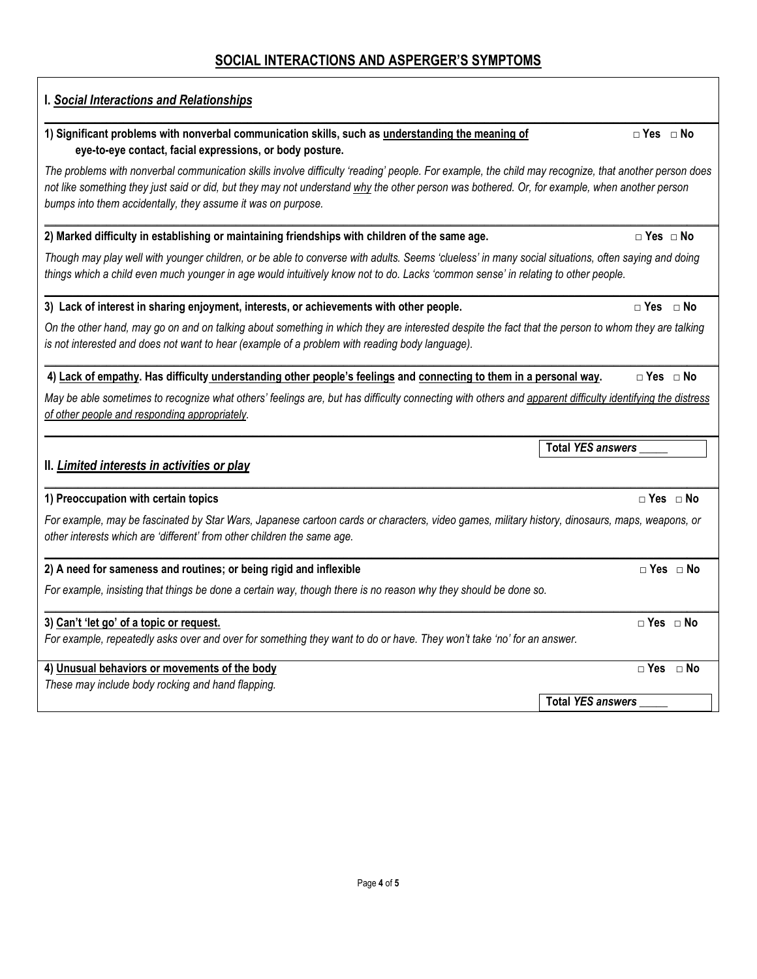# **SOCIAL INTERACTIONS AND ASPERGER'S SYMPTOMS**

| 1) Significant problems with nonverbal communication skills, such as understanding the meaning of<br>eye-to-eye contact, facial expressions, or body posture.<br>The problems with nonverbal communication skills involve difficulty 'reading' people. For example, the child may recognize, that another person does<br>not like something they just said or did, but they may not understand why the other person was bothered. Or, for example, when another person<br>bumps into them accidentally, they assume it was on purpose.<br>2) Marked difficulty in establishing or maintaining friendships with children of the same age.<br>Though may play well with younger children, or be able to converse with adults. Seems 'clueless' in many social situations, often saying and doing<br>things which a child even much younger in age would intuitively know not to do. Lacks 'common sense' in relating to other people.<br>3) Lack of interest in sharing enjoyment, interests, or achievements with other people.<br>On the other hand, may go on and on talking about something in which they are interested despite the fact that the person to whom they are talking<br>is not interested and does not want to hear (example of a problem with reading body language).<br>4) Lack of empathy. Has difficulty understanding other people's feelings and connecting to them in a personal way.<br>May be able sometimes to recognize what others' feelings are, but has difficulty connecting with others and apparent difficulty identifying the distress<br>of other people and responding appropriately.<br><b>Total YES answers</b><br>II. Limited interests in activities or play<br>1) Preoccupation with certain topics<br>For example, may be fascinated by Star Wars, Japanese cartoon cards or characters, video games, military history, dinosaurs, maps, weapons, or<br>other interests which are 'different' from other children the same age.<br>2) A need for sameness and routines; or being rigid and inflexible<br>For example, insisting that things be done a certain way, though there is no reason why they should be done so.<br>3) Can't 'let go' of a topic or request. |                              |
|----------------------------------------------------------------------------------------------------------------------------------------------------------------------------------------------------------------------------------------------------------------------------------------------------------------------------------------------------------------------------------------------------------------------------------------------------------------------------------------------------------------------------------------------------------------------------------------------------------------------------------------------------------------------------------------------------------------------------------------------------------------------------------------------------------------------------------------------------------------------------------------------------------------------------------------------------------------------------------------------------------------------------------------------------------------------------------------------------------------------------------------------------------------------------------------------------------------------------------------------------------------------------------------------------------------------------------------------------------------------------------------------------------------------------------------------------------------------------------------------------------------------------------------------------------------------------------------------------------------------------------------------------------------------------------------------------------------------------------------------------------------------------------------------------------------------------------------------------------------------------------------------------------------------------------------------------------------------------------------------------------------------------------------------------------------------------------------------------------------------------------------------------------------------------------------------------------------|------------------------------|
|                                                                                                                                                                                                                                                                                                                                                                                                                                                                                                                                                                                                                                                                                                                                                                                                                                                                                                                                                                                                                                                                                                                                                                                                                                                                                                                                                                                                                                                                                                                                                                                                                                                                                                                                                                                                                                                                                                                                                                                                                                                                                                                                                                                                                | $\Box$ Yes $\Box$ No         |
|                                                                                                                                                                                                                                                                                                                                                                                                                                                                                                                                                                                                                                                                                                                                                                                                                                                                                                                                                                                                                                                                                                                                                                                                                                                                                                                                                                                                                                                                                                                                                                                                                                                                                                                                                                                                                                                                                                                                                                                                                                                                                                                                                                                                                |                              |
|                                                                                                                                                                                                                                                                                                                                                                                                                                                                                                                                                                                                                                                                                                                                                                                                                                                                                                                                                                                                                                                                                                                                                                                                                                                                                                                                                                                                                                                                                                                                                                                                                                                                                                                                                                                                                                                                                                                                                                                                                                                                                                                                                                                                                | $\Box$ Yes $\Box$ No         |
|                                                                                                                                                                                                                                                                                                                                                                                                                                                                                                                                                                                                                                                                                                                                                                                                                                                                                                                                                                                                                                                                                                                                                                                                                                                                                                                                                                                                                                                                                                                                                                                                                                                                                                                                                                                                                                                                                                                                                                                                                                                                                                                                                                                                                |                              |
|                                                                                                                                                                                                                                                                                                                                                                                                                                                                                                                                                                                                                                                                                                                                                                                                                                                                                                                                                                                                                                                                                                                                                                                                                                                                                                                                                                                                                                                                                                                                                                                                                                                                                                                                                                                                                                                                                                                                                                                                                                                                                                                                                                                                                | $\Box$ Yes $\Box$ No         |
|                                                                                                                                                                                                                                                                                                                                                                                                                                                                                                                                                                                                                                                                                                                                                                                                                                                                                                                                                                                                                                                                                                                                                                                                                                                                                                                                                                                                                                                                                                                                                                                                                                                                                                                                                                                                                                                                                                                                                                                                                                                                                                                                                                                                                |                              |
|                                                                                                                                                                                                                                                                                                                                                                                                                                                                                                                                                                                                                                                                                                                                                                                                                                                                                                                                                                                                                                                                                                                                                                                                                                                                                                                                                                                                                                                                                                                                                                                                                                                                                                                                                                                                                                                                                                                                                                                                                                                                                                                                                                                                                |                              |
|                                                                                                                                                                                                                                                                                                                                                                                                                                                                                                                                                                                                                                                                                                                                                                                                                                                                                                                                                                                                                                                                                                                                                                                                                                                                                                                                                                                                                                                                                                                                                                                                                                                                                                                                                                                                                                                                                                                                                                                                                                                                                                                                                                                                                |                              |
|                                                                                                                                                                                                                                                                                                                                                                                                                                                                                                                                                                                                                                                                                                                                                                                                                                                                                                                                                                                                                                                                                                                                                                                                                                                                                                                                                                                                                                                                                                                                                                                                                                                                                                                                                                                                                                                                                                                                                                                                                                                                                                                                                                                                                | $\Box$ Yes $\Box$ No         |
|                                                                                                                                                                                                                                                                                                                                                                                                                                                                                                                                                                                                                                                                                                                                                                                                                                                                                                                                                                                                                                                                                                                                                                                                                                                                                                                                                                                                                                                                                                                                                                                                                                                                                                                                                                                                                                                                                                                                                                                                                                                                                                                                                                                                                |                              |
|                                                                                                                                                                                                                                                                                                                                                                                                                                                                                                                                                                                                                                                                                                                                                                                                                                                                                                                                                                                                                                                                                                                                                                                                                                                                                                                                                                                                                                                                                                                                                                                                                                                                                                                                                                                                                                                                                                                                                                                                                                                                                                                                                                                                                | $\Box$ Yes $\Box$ No         |
|                                                                                                                                                                                                                                                                                                                                                                                                                                                                                                                                                                                                                                                                                                                                                                                                                                                                                                                                                                                                                                                                                                                                                                                                                                                                                                                                                                                                                                                                                                                                                                                                                                                                                                                                                                                                                                                                                                                                                                                                                                                                                                                                                                                                                |                              |
|                                                                                                                                                                                                                                                                                                                                                                                                                                                                                                                                                                                                                                                                                                                                                                                                                                                                                                                                                                                                                                                                                                                                                                                                                                                                                                                                                                                                                                                                                                                                                                                                                                                                                                                                                                                                                                                                                                                                                                                                                                                                                                                                                                                                                | $\Box$ Yes $\Box$ No         |
| For example, repeatedly asks over and over for something they want to do or have. They won't take 'no' for an answer.                                                                                                                                                                                                                                                                                                                                                                                                                                                                                                                                                                                                                                                                                                                                                                                                                                                                                                                                                                                                                                                                                                                                                                                                                                                                                                                                                                                                                                                                                                                                                                                                                                                                                                                                                                                                                                                                                                                                                                                                                                                                                          |                              |
| 4) Unusual behaviors or movements of the body                                                                                                                                                                                                                                                                                                                                                                                                                                                                                                                                                                                                                                                                                                                                                                                                                                                                                                                                                                                                                                                                                                                                                                                                                                                                                                                                                                                                                                                                                                                                                                                                                                                                                                                                                                                                                                                                                                                                                                                                                                                                                                                                                                  | $\square$ Yes<br>$\sqcap$ No |
| These may include body rocking and hand flapping.                                                                                                                                                                                                                                                                                                                                                                                                                                                                                                                                                                                                                                                                                                                                                                                                                                                                                                                                                                                                                                                                                                                                                                                                                                                                                                                                                                                                                                                                                                                                                                                                                                                                                                                                                                                                                                                                                                                                                                                                                                                                                                                                                              | <b>Total YES answers</b>     |